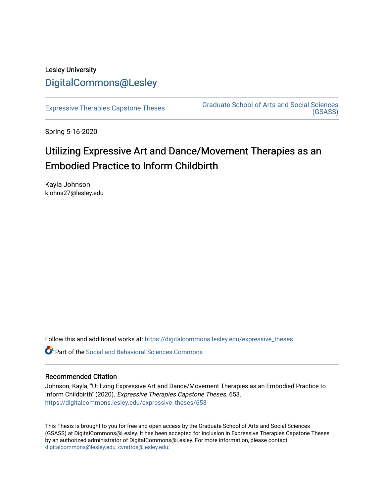# Lesley University [DigitalCommons@Lesley](https://digitalcommons.lesley.edu/)

[Expressive Therapies Capstone Theses](https://digitalcommons.lesley.edu/expressive_theses) Graduate School of Arts and Social Sciences [\(GSASS\)](https://digitalcommons.lesley.edu/gsass) 

Spring 5-16-2020

# Utilizing Expressive Art and Dance/Movement Therapies as an Embodied Practice to Inform Childbirth

Kayla Johnson kjohns27@lesley.edu

Follow this and additional works at: [https://digitalcommons.lesley.edu/expressive\\_theses](https://digitalcommons.lesley.edu/expressive_theses?utm_source=digitalcommons.lesley.edu%2Fexpressive_theses%2F653&utm_medium=PDF&utm_campaign=PDFCoverPages)

Part of the [Social and Behavioral Sciences Commons](https://network.bepress.com/hgg/discipline/316?utm_source=digitalcommons.lesley.edu%2Fexpressive_theses%2F653&utm_medium=PDF&utm_campaign=PDFCoverPages) 

# Recommended Citation

Johnson, Kayla, "Utilizing Expressive Art and Dance/Movement Therapies as an Embodied Practice to Inform Childbirth" (2020). Expressive Therapies Capstone Theses. 653. [https://digitalcommons.lesley.edu/expressive\\_theses/653](https://digitalcommons.lesley.edu/expressive_theses/653?utm_source=digitalcommons.lesley.edu%2Fexpressive_theses%2F653&utm_medium=PDF&utm_campaign=PDFCoverPages)

This Thesis is brought to you for free and open access by the Graduate School of Arts and Social Sciences (GSASS) at DigitalCommons@Lesley. It has been accepted for inclusion in Expressive Therapies Capstone Theses by an authorized administrator of DigitalCommons@Lesley. For more information, please contact [digitalcommons@lesley.edu, cvrattos@lesley.edu](mailto:digitalcommons@lesley.edu,%20cvrattos@lesley.edu).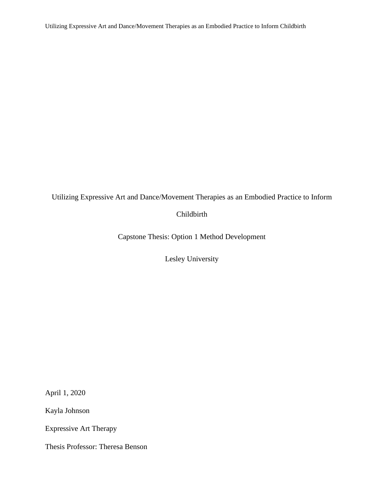# Utilizing Expressive Art and Dance/Movement Therapies as an Embodied Practice to Inform

# Childbirth

Capstone Thesis: Option 1 Method Development

Lesley University

April 1, 2020

Kayla Johnson

Expressive Art Therapy

Thesis Professor: Theresa Benson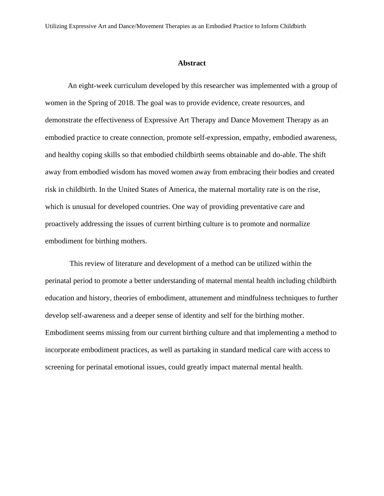#### **Abstract**

An eight-week curriculum developed by this researcher was implemented with a group of women in the Spring of 2018. The goal was to provide evidence, create resources, and demonstrate the effectiveness of Expressive Art Therapy and Dance Movement Therapy as an embodied practice to create connection, promote self-expression, empathy, embodied awareness, and healthy coping skills so that embodied childbirth seems obtainable and do-able. The shift away from embodied wisdom has moved women away from embracing their bodies and created risk in childbirth. In the United States of America, the maternal [mortality](https://go.gale.com/ps/i.do?p=AONE&u=les_main&id=GALE|A523609895&v=2.1&it=r&sid=ebsco&password=NostimonHmar&ugroup=outside) rate is on the rise, which is unusual for developed countries. One way of providing preventative care and proactively addressing the issues of current birthing culture is to promote and normalize embodiment for birthing mothers.

This review of literature and development of a method can be utilized within the perinatal period to promote a better understanding of maternal mental health including childbirth education and history, theories of embodiment, attunement and mindfulness techniques to further develop self-awareness and a deeper sense of identity and self for the birthing mother. Embodiment seems missing from our current birthing culture and that implementing a method to incorporate embodiment practices, as well as partaking in standard medical care with access to screening for perinatal emotional issues, could greatly impact maternal mental health.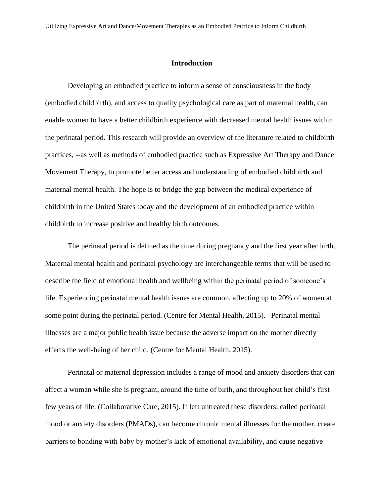# **Introduction**

Developing an embodied practice to inform a sense of consciousness in the body (embodied childbirth), and access to quality psychological care as part of maternal health, can enable women to have a better childbirth experience with decreased mental health issues within the perinatal period. This research will provide an overview of the literature related to childbirth practices, --as well as methods of embodied practice such as Expressive Art Therapy and Dance Movement Therapy, to promote better access and understanding of embodied childbirth and maternal mental health. The hope is to bridge the gap between the medical experience of childbirth in the United States today and the development of an embodied practice within childbirth to increase positive and healthy birth outcomes.

The perinatal period is defined as the time during pregnancy and the first year after birth. Maternal mental health and perinatal psychology are interchangeable terms that will be used to describe the field of emotional health and wellbeing within the perinatal period of someone's life. Experiencing perinatal mental health issues are common, affecting up to 20% of women at some point during the perinatal period. (Centre for Mental Health, 2015). Perinatal mental illnesses are a major public health issue because the adverse impact on the mother directly effects the well-being of her child. (Centre for Mental Health, 2015).

Perinatal or maternal depression includes a range of mood and anxiety disorders that can affect a woman while she is pregnant, around the time of birth, and throughout her child's first few years of life. (Collaborative Care, 2015). If left untreated these disorders, called perinatal mood or anxiety disorders (PMADs), can become chronic mental illnesses for the mother, create barriers to bonding with baby by mother's lack of emotional availability, and cause negative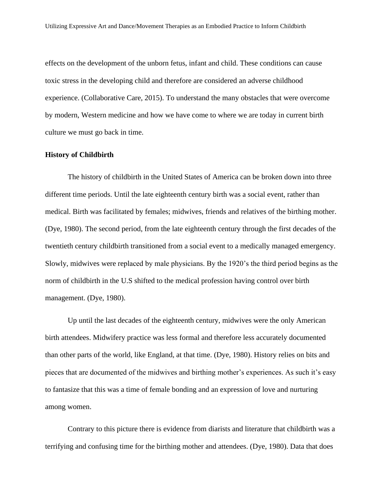effects on the development of the unborn fetus, infant and child. These conditions can cause toxic stress in the developing child and therefore are considered an adverse childhood experience. (Collaborative Care, 2015). To understand the many obstacles that were overcome by modern, Western medicine and how we have come to where we are today in current birth culture we must go back in time.

# **History of Childbirth**

The history of childbirth in the United States of America can be broken down into three different time periods. Until the late eighteenth century birth was a social event, rather than medical. Birth was facilitated by females; midwives, friends and relatives of the birthing mother. (Dye, 1980). The second period, from the late eighteenth century through the first decades of the twentieth century childbirth transitioned from a social event to a medically managed emergency. Slowly, midwives were replaced by male physicians. By the 1920's the third period begins as the norm of childbirth in the U.S shifted to the medical profession having control over birth management. (Dye, 1980).

Up until the last decades of the eighteenth century, midwives were the only American birth attendees. Midwifery practice was less formal and therefore less accurately documented than other parts of the world, like England, at that time. (Dye, 1980). History relies on bits and pieces that are documented of the midwives and birthing mother's experiences. As such it's easy to fantasize that this was a time of female bonding and an expression of love and nurturing among women.

Contrary to this picture there is evidence from diarists and literature that childbirth was a terrifying and confusing time for the birthing mother and attendees. (Dye, 1980). Data that does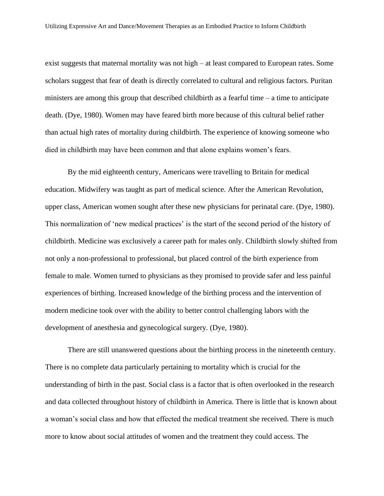exist suggests that maternal mortality was not high – at least compared to European rates. Some scholars suggest that fear of death is directly correlated to cultural and religious factors. Puritan ministers are among this group that described childbirth as a fearful time – a time to anticipate death. (Dye, 1980). Women may have feared birth more because of this cultural belief rather than actual high rates of mortality during childbirth. The experience of knowing someone who died in childbirth may have been common and that alone explains women's fears.

By the mid eighteenth century, Americans were travelling to Britain for medical education. Midwifery was taught as part of medical science. After the American Revolution, upper class, American women sought after these new physicians for perinatal care. (Dye, 1980). This normalization of 'new medical practices' is the start of the second period of the history of childbirth. Medicine was exclusively a career path for males only. Childbirth slowly shifted from not only a non-professional to professional, but placed control of the birth experience from female to male. Women turned to physicians as they promised to provide safer and less painful experiences of birthing. Increased knowledge of the birthing process and the intervention of modern medicine took over with the ability to better control challenging labors with the development of anesthesia and gynecological surgery. (Dye, 1980).

There are still unanswered questions about the birthing process in the nineteenth century. There is no complete data particularly pertaining to mortality which is crucial for the understanding of birth in the past. Social class is a factor that is often overlooked in the research and data collected throughout history of childbirth in America. There is little that is known about a woman's social class and how that effected the medical treatment she received. There is much more to know about social attitudes of women and the treatment they could access. The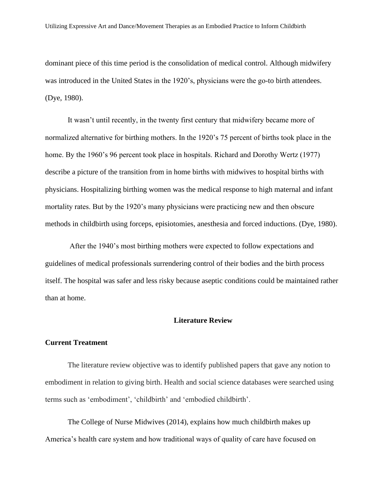dominant piece of this time period is the consolidation of medical control. Although midwifery was introduced in the United States in the 1920's, physicians were the go-to birth attendees. (Dye, 1980).

It wasn't until recently, in the twenty first century that midwifery became more of normalized alternative for birthing mothers. In the 1920's 75 percent of births took place in the home. By the 1960's 96 percent took place in hospitals. Richard and Dorothy Wertz (1977) describe a picture of the transition from in home births with midwives to hospital births with physicians. Hospitalizing birthing women was the medical response to high maternal and infant mortality rates. But by the 1920's many physicians were practicing new and then obscure methods in childbirth using forceps, episiotomies, anesthesia and forced inductions. (Dye, 1980).

After the 1940's most birthing mothers were expected to follow expectations and guidelines of medical professionals surrendering control of their bodies and the birth process itself. The hospital was safer and less risky because aseptic conditions could be maintained rather than at home.

# **Literature Review**

#### **Current Treatment**

The literature review objective was to identify published papers that gave any notion to embodiment in relation to giving birth. Health and social science databases were searched using terms such as 'embodiment', 'childbirth' and 'embodied childbirth'.

The College of Nurse Midwives (2014), explains how much childbirth makes up America's health care system and how traditional ways of quality of care have focused on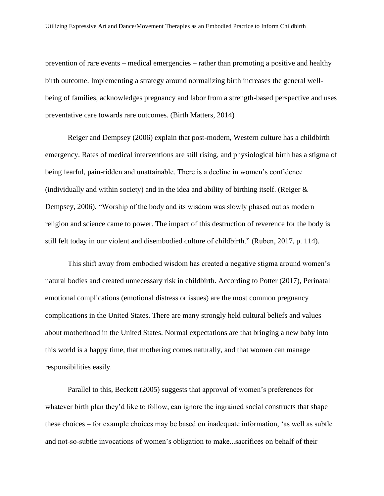prevention of rare events – medical emergencies – rather than promoting a positive and healthy birth outcome. Implementing a strategy around normalizing birth increases the general wellbeing of families, acknowledges pregnancy and labor from a strength-based perspective and uses preventative care towards rare outcomes. (Birth Matters, 2014)

Reiger and Dempsey (2006) explain that post-modern, Western culture has a childbirth emergency. Rates of medical interventions are still rising, and physiological birth has a stigma of being fearful, pain-ridden and unattainable. There is a decline in women's confidence (individually and within society) and in the idea and ability of birthing itself. (Reiger  $\&$ Dempsey, 2006). "Worship of the body and its wisdom was slowly phased out as modern religion and science came to power. The impact of this destruction of reverence for the body is still felt today in our violent and disembodied culture of childbirth." (Ruben, 2017, p. 114).

This shift away from embodied wisdom has created a negative stigma around women's natural bodies and created unnecessary risk in childbirth. According to Potter (2017), Perinatal emotional complications (emotional distress or issues) are the most common pregnancy complications in the United States. There are many strongly held cultural beliefs and values about motherhood in the United States. Normal expectations are that bringing a new baby into this world is a happy time, that mothering comes naturally, and that women can manage responsibilities easily.

Parallel to this, Beckett (2005) suggests that approval of women's preferences for whatever birth plan they'd like to follow, can ignore the ingrained social constructs that shape these choices – for example choices may be based on inadequate information, 'as well as subtle and not‐so‐subtle invocations of women's obligation to make...sacrifices on behalf of their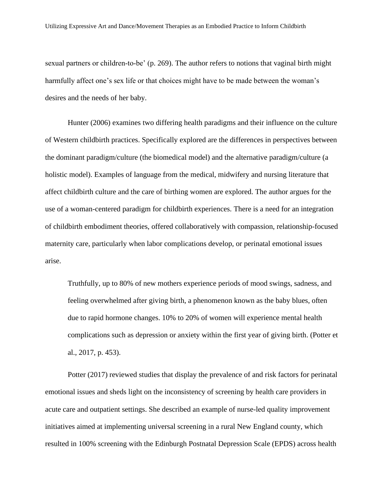sexual partners or children-to-be' (p. 269). The author refers to notions that vaginal birth might harmfully affect one's sex life or that choices might have to be made between the woman's desires and the needs of her baby.

Hunter (2006) examines two differing health paradigms and their influence on the culture of Western childbirth practices. Specifically explored are the differences in perspectives between the dominant paradigm/culture (the biomedical model) and the alternative paradigm/culture (a holistic model). Examples of language from the medical, midwifery and nursing literature that affect childbirth culture and the care of birthing women are explored. The author argues for the use of a woman-centered paradigm for childbirth experiences. There is a need for an integration of childbirth embodiment theories, offered collaboratively with compassion, relationship-focused maternity care, particularly when labor complications develop, or perinatal emotional issues arise.

Truthfully, up to 80% of new mothers experience periods of mood swings, sadness, and feeling overwhelmed after giving birth, a phenomenon known as the baby blues, often due to rapid hormone changes. 10% to 20% of women will experience mental health complications such as depression or anxiety within the first year of giving birth. (Potter et al., 2017, p. 453).

Potter (2017) reviewed studies that display the prevalence of and risk factors for perinatal emotional issues and sheds light on the inconsistency of screening by health care providers in acute care and outpatient settings. She described an example of nurse-led quality improvement initiatives aimed at implementing universal screening in a rural New England county, which resulted in 100% screening with the Edinburgh Postnatal Depression Scale (EPDS) across health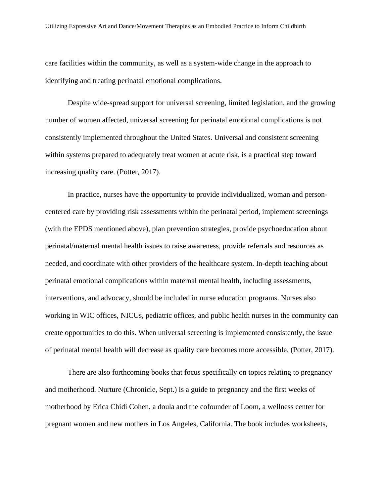care facilities within the community, as well as a system-wide change in the approach to identifying and treating perinatal emotional complications.

Despite wide-spread support for universal screening, limited legislation, and the growing number of women affected, universal screening for perinatal emotional complications is not consistently implemented throughout the United States. Universal and consistent screening within systems prepared to adequately treat women at acute risk, is a practical step toward increasing quality care. (Potter, 2017).

In practice, nurses have the opportunity to provide individualized, woman and personcentered care by providing risk assessments within the perinatal period, implement screenings (with the EPDS mentioned above), plan prevention strategies, provide psychoeducation about perinatal/maternal mental health issues to raise awareness, provide referrals and resources as needed, and coordinate with other providers of the healthcare system. In-depth teaching about perinatal emotional complications within maternal mental health, including assessments, interventions, and advocacy, should be included in nurse education programs. Nurses also working in WIC offices, NICUs, pediatric offices, and public health nurses in the community can create opportunities to do this. When universal screening is implemented consistently, the issue of perinatal mental health will decrease as quality care becomes more accessible. (Potter, 2017).

There are also forthcoming books that focus specifically on topics relating to pregnancy and motherhood. Nurture (Chronicle, Sept.) is a guide to pregnancy and the first weeks of motherhood by Erica Chidi Cohen, a doula and the cofounder of Loom, a wellness center for pregnant women and new mothers in Los Angeles, California. The book includes worksheets,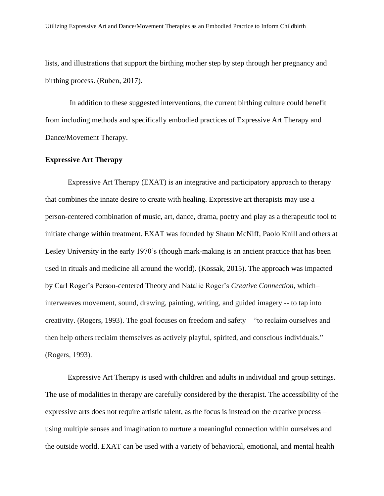lists, and illustrations that support the birthing mother step by step through her pregnancy and birthing process. (Ruben, 2017).

In addition to these suggested interventions, the current birthing culture could benefit from including methods and specifically embodied practices of Expressive Art Therapy and Dance/Movement Therapy.

## **Expressive Art Therapy**

Expressive Art Therapy (EXAT) is an integrative and participatory approach to therapy that combines the innate desire to create with healing. Expressive art therapists may use a person-centered combination of music, art, dance, drama, poetry and play as a therapeutic tool to initiate change within treatment. EXAT was founded by Shaun McNiff, Paolo Knill and others at Lesley University in the early 1970's (though mark-making is an ancient practice that has been used in rituals and medicine all around the world). (Kossak, 2015). The approach was impacted by Carl Roger's Person-centered Theory and Natalie Roger's *Creative Connection*, which– interweaves movement, sound, drawing, painting, writing, and guided imagery -- to tap into creativity. (Rogers, 1993). The goal focuses on freedom and safety – "to reclaim ourselves and then help others reclaim themselves as actively playful, spirited, and conscious individuals." (Rogers, 1993).

Expressive Art Therapy is used with children and adults in individual and group settings. The use of modalities in therapy are carefully considered by the therapist. The accessibility of the expressive arts does not require artistic talent, as the focus is instead on the creative process – using multiple senses and imagination to nurture a meaningful connection within ourselves and the outside world. EXAT can be used with a variety of behavioral, emotional, and mental health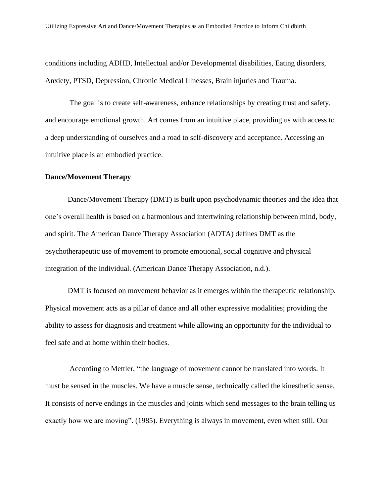conditions including ADHD, Intellectual and/or Developmental disabilities, Eating disorders, Anxiety, PTSD, Depression, Chronic Medical Illnesses, Brain injuries and Trauma.

The goal is to create self-awareness, enhance relationships by creating trust and safety, and encourage emotional growth. Art comes from an intuitive place, providing us with access to a deep understanding of ourselves and a road to self-discovery and acceptance. Accessing an intuitive place is an embodied practice.

#### **Dance/Movement Therapy**

Dance/Movement Therapy (DMT) is built upon psychodynamic theories and the idea that one's overall health is based on a harmonious and intertwining relationship between mind, body, and spirit. The American Dance Therapy Association (ADTA) defines DMT as the psychotherapeutic use of movement to promote emotional, social cognitive and physical integration of the individual. (American Dance Therapy Association, n.d.).

DMT is focused on movement behavior as it emerges within the therapeutic relationship. Physical movement acts as a pillar of dance and all other expressive modalities; providing the ability to assess for diagnosis and treatment while allowing an opportunity for the individual to feel safe and at home within their bodies.

According to Mettler, "the language of movement cannot be translated into words. It must be sensed in the muscles. We have a muscle sense, technically called the kinesthetic sense. It consists of nerve endings in the muscles and joints which send messages to the brain telling us exactly how we are moving". (1985). Everything is always in movement, even when still. Our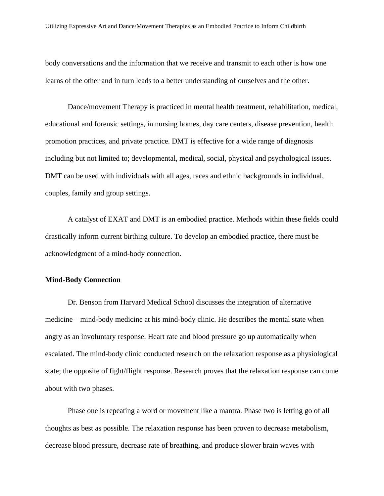body conversations and the information that we receive and transmit to each other is how one learns of the other and in turn leads to a better understanding of ourselves and the other.

Dance/movement Therapy is practiced in mental health treatment, rehabilitation, medical, educational and forensic settings, in nursing homes, day care centers, disease prevention, health promotion practices, and private practice. DMT is effective for a wide range of diagnosis including but not limited to; developmental, medical, social, physical and psychological issues. DMT can be used with individuals with all ages, races and ethnic backgrounds in individual, couples, family and group settings.

A catalyst of EXAT and DMT is an embodied practice. Methods within these fields could drastically inform current birthing culture. To develop an embodied practice, there must be acknowledgment of a mind-body connection.

#### **Mind-Body Connection**

Dr. Benson from Harvard Medical School discusses the integration of alternative medicine – mind-body medicine at his mind-body clinic. He describes the mental state when angry as an involuntary response. Heart rate and blood pressure go up automatically when escalated. The mind-body clinic conducted research on the relaxation response as a physiological state; the opposite of fight/flight response. Research proves that the relaxation response can come about with two phases.

Phase one is repeating a word or movement like a mantra. Phase two is letting go of all thoughts as best as possible. The relaxation response has been proven to decrease metabolism, decrease blood pressure, decrease rate of breathing, and produce slower brain waves with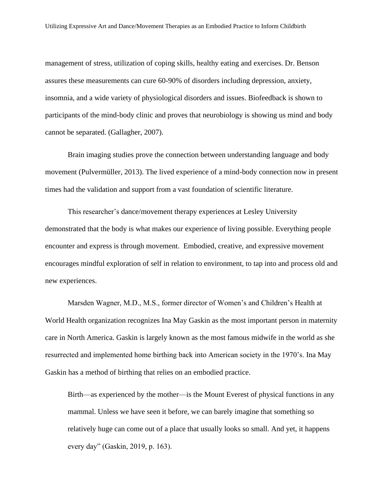management of stress, utilization of coping skills, healthy eating and exercises. Dr. Benson assures these measurements can cure 60-90% of disorders including depression, anxiety, insomnia, and a wide variety of physiological disorders and issues. Biofeedback is shown to participants of the mind-body clinic and proves that neurobiology is showing us mind and body cannot be separated. (Gallagher, 2007).

Brain imaging studies prove the connection between understanding language and body movement (Pulvermüller, 2013). The lived experience of a mind-body connection now in present times had the validation and support from a vast foundation of scientific literature.

This researcher's dance/movement therapy experiences at Lesley University demonstrated that the body is what makes our experience of living possible. Everything people encounter and express is through movement. Embodied, creative, and expressive movement encourages mindful exploration of self in relation to environment, to tap into and process old and new experiences.

Marsden Wagner, M.D., M.S., former director of Women's and Children's Health at World Health organization recognizes Ina May Gaskin as the most important person in maternity care in North America. Gaskin is largely known as the most famous midwife in the world as she resurrected and implemented home birthing back into American society in the 1970's. Ina May Gaskin has a method of birthing that relies on an embodied practice.

Birth—as experienced by the mother—is the Mount Everest of physical functions in any mammal. Unless we have seen it before, we can barely imagine that something so relatively huge can come out of a place that usually looks so small. And yet, it happens every day" (Gaskin, 2019, p. 163).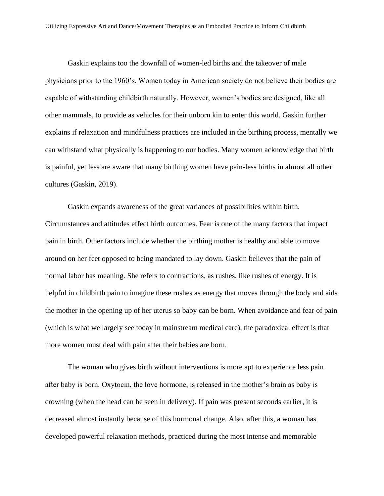Gaskin explains too the downfall of women-led births and the takeover of male physicians prior to the 1960's. Women today in American society do not believe their bodies are capable of withstanding childbirth naturally. However, women's bodies are designed, like all other mammals, to provide as vehicles for their unborn kin to enter this world. Gaskin further explains if relaxation and mindfulness practices are included in the birthing process, mentally we can withstand what physically is happening to our bodies. Many women acknowledge that birth is painful, yet less are aware that many birthing women have pain-less births in almost all other cultures (Gaskin, 2019).

Gaskin expands awareness of the great variances of possibilities within birth. Circumstances and attitudes effect birth outcomes. Fear is one of the many factors that impact pain in birth. Other factors include whether the birthing mother is healthy and able to move around on her feet opposed to being mandated to lay down. Gaskin believes that the pain of normal labor has meaning. She refers to contractions, as rushes, like rushes of energy. It is helpful in childbirth pain to imagine these rushes as energy that moves through the body and aids the mother in the opening up of her uterus so baby can be born. When avoidance and fear of pain (which is what we largely see today in mainstream medical care), the paradoxical effect is that more women must deal with pain after their babies are born.

The woman who gives birth without interventions is more apt to experience less pain after baby is born. Oxytocin, the love hormone, is released in the mother's brain as baby is crowning (when the head can be seen in delivery). If pain was present seconds earlier, it is decreased almost instantly because of this hormonal change. Also, after this, a woman has developed powerful relaxation methods, practiced during the most intense and memorable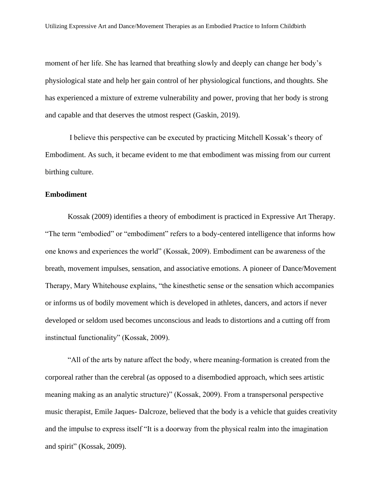moment of her life. She has learned that breathing slowly and deeply can change her body's physiological state and help her gain control of her physiological functions, and thoughts. She has experienced a mixture of extreme vulnerability and power, proving that her body is strong and capable and that deserves the utmost respect (Gaskin, 2019).

I believe this perspective can be executed by practicing Mitchell Kossak's theory of Embodiment. As such, it became evident to me that embodiment was missing from our current birthing culture.

#### **Embodiment**

Kossak (2009) identifies a theory of embodiment is practiced in Expressive Art Therapy. "The term "embodied" or "embodiment" refers to a body-centered intelligence that informs how one knows and experiences the world" (Kossak, 2009). Embodiment can be awareness of the breath, movement impulses, sensation, and associative emotions. A pioneer of Dance/Movement Therapy, Mary Whitehouse explains, "the kinesthetic sense or the sensation which accompanies or informs us of bodily movement which is developed in athletes, dancers, and actors if never developed or seldom used becomes unconscious and leads to distortions and a cutting off from instinctual functionality" (Kossak, 2009).

"All of the arts by nature affect the body, where meaning-formation is created from the corporeal rather than the cerebral (as opposed to a disembodied approach, which sees artistic meaning making as an analytic structure)" (Kossak, 2009). From a transpersonal perspective music therapist, Emile Jaques- Dalcroze, believed that the body is a vehicle that guides creativity and the impulse to express itself "It is a doorway from the physical realm into the imagination and spirit" (Kossak, 2009).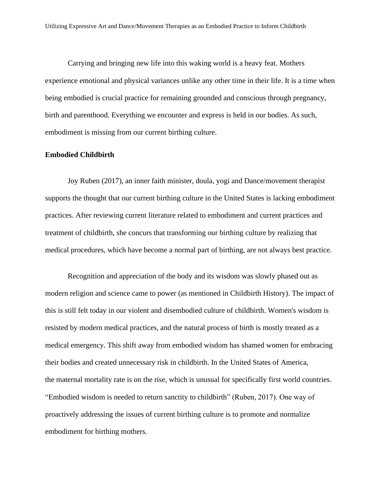Carrying and bringing new life into this waking world is a heavy feat. Mothers experience emotional and physical variances unlike any other time in their life. It is a time when being embodied is crucial practice for remaining grounded and conscious through pregnancy, birth and parenthood. Everything we encounter and express is held in our bodies. As such, embodiment is missing from our current birthing culture.

# **Embodied Childbirth**

Joy Ruben (2017), an inner faith minister, doula, yogi and Dance/movement therapist supports the thought that our current birthing culture in the United States is lacking embodiment practices. After reviewing current literature related to embodiment and current practices and treatment of childbirth, she concurs that transforming our birthing culture by realizing that medical procedures, which have become a normal part of birthing, are not always best practice.

Recognition and appreciation of the body and its wisdom was slowly phased out as modern [religion](https://go.gale.com/ps/i.do?p=AONE&u=les_main&id=GALE|A523609895&v=2.1&it=r&sid=ebsco&password=NostimonHmar&ugroup=outside) and science came to power (as mentioned in Childbirth History). The impact of this is still felt today in our violent and disembodied [culture](https://go.gale.com/ps/i.do?p=AONE&u=les_main&id=GALE|A523609895&v=2.1&it=r&sid=ebsco&password=NostimonHmar&ugroup=outside) of childbirth. Women's wisdom is resisted by modern medical practices, and the natural process of birth is mostly treated as a medical emergency. This shift away from embodied wisdom has shamed women for embracing their bodies and created unnecessary risk in childbirth. In the United States of America, the maternal [mortality](https://go.gale.com/ps/i.do?p=AONE&u=les_main&id=GALE|A523609895&v=2.1&it=r&sid=ebsco&password=NostimonHmar&ugroup=outside) rate is on the rise, which is unusual for specifically first world countries. "Embodied wisdom is needed to return sanctity to childbirth" (Ruben, 2017). One way of proactively addressing the issues of current birthing culture is to promote and normalize embodiment for birthing mothers.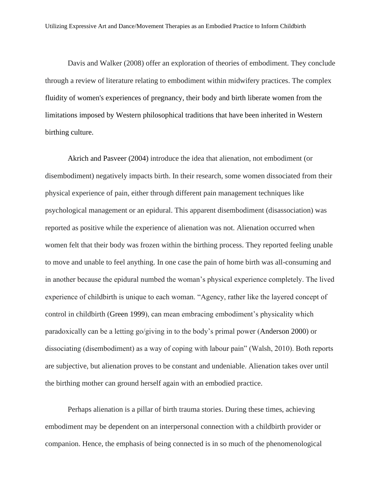Davis and Walker (2008) offer an exploration of theories of embodiment. They conclude through a review of literature relating to embodiment within midwifery practices. The complex fluidity of women's experiences of pregnancy, their body and birth liberate women from the limitations imposed by Western philosophical traditions that have been inherited in Western birthing culture.

[Akrich and Pasveer \(2004\)](https://onlinelibrary.wiley.com/doi/full/10.1111/j.1467-9566.2009.01207.x#b4) introduce the idea that alienation, not embodiment (or disembodiment) negatively impacts birth. In their research, some women dissociated from their physical experience of pain, either through different pain management techniques like psychological management or an epidural. This apparent disembodiment (disassociation) was reported as positive while the experience of alienation was not. Alienation occurred when women felt that their body was frozen within the birthing process. They reported feeling unable to move and unable to feel anything. In one case the pain of home birth was all-consuming and in another because the epidural numbed the woman's physical experience completely. The lived experience of childbirth is unique to each woman. "Agency, rather like the layered concept of control in childbirth [\(Green 1999\)](https://onlinelibrary.wiley.com/doi/full/10.1111/j.1467-9566.2009.01207.x#b49), can mean embracing embodiment's physicality which paradoxically can be a letting go/giving in to the body's primal power [\(Anderson 2000\)](https://onlinelibrary.wiley.com/doi/full/10.1111/j.1467-9566.2009.01207.x#b2) or dissociating (disembodiment) as a way of coping with labour pain" (Walsh, 2010). Both reports are subjective, but alienation proves to be constant and undeniable. Alienation takes over until the birthing mother can ground herself again with an embodied practice.

Perhaps alienation is a pillar of birth trauma stories. During these times, achieving embodiment may be dependent on an interpersonal connection with a childbirth provider or companion. Hence, the emphasis of being connected is in so much of the phenomenological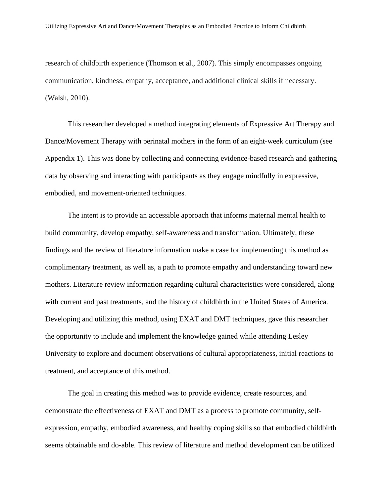research of childbirth experience [\(Thomson](https://onlinelibrary.wiley.com/doi/full/10.1111/j.1467-9566.2009.01207.x#b109) et al., 2007). This simply encompasses ongoing communication, kindness, empathy, acceptance, and additional clinical skills if necessary. (Walsh, 2010).

This researcher developed a method integrating elements of Expressive Art Therapy and Dance/Movement Therapy with perinatal mothers in the form of an eight-week curriculum (see Appendix 1). This was done by collecting and connecting evidence-based research and gathering data by observing and interacting with participants as they engage mindfully in expressive, embodied, and movement-oriented techniques.

The intent is to provide an accessible approach that informs maternal mental health to build community, develop empathy, self-awareness and transformation. Ultimately, these findings and the review of literature information make a case for implementing this method as complimentary treatment, as well as, a path to promote empathy and understanding toward new mothers. Literature review information regarding cultural characteristics were considered, along with current and past treatments, and the history of childbirth in the United States of America. Developing and utilizing this method, using EXAT and DMT techniques, gave this researcher the opportunity to include and implement the knowledge gained while attending Lesley University to explore and document observations of cultural appropriateness, initial reactions to treatment, and acceptance of this method.

The goal in creating this method was to provide evidence, create resources, and demonstrate the effectiveness of EXAT and DMT as a process to promote community, selfexpression, empathy, embodied awareness, and healthy coping skills so that embodied childbirth seems obtainable and do-able. This review of literature and method development can be utilized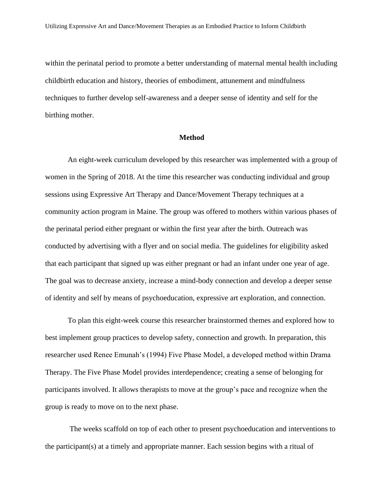within the perinatal period to promote a better understanding of maternal mental health including childbirth education and history, theories of embodiment, attunement and mindfulness techniques to further develop self-awareness and a deeper sense of identity and self for the birthing mother.

#### **Method**

An eight-week curriculum developed by this researcher was implemented with a group of women in the Spring of 2018. At the time this researcher was conducting individual and group sessions using Expressive Art Therapy and Dance/Movement Therapy techniques at a community action program in Maine. The group was offered to mothers within various phases of the perinatal period either pregnant or within the first year after the birth. Outreach was conducted by advertising with a flyer and on social media. The guidelines for eligibility asked that each participant that signed up was either pregnant or had an infant under one year of age. The goal was to decrease anxiety, increase a mind-body connection and develop a deeper sense of identity and self by means of psychoeducation, expressive art exploration, and connection.

To plan this eight-week course this researcher brainstormed themes and explored how to best implement group practices to develop safety, connection and growth. In preparation, this researcher used Renee Emunah's (1994) Five Phase Model, a developed method within Drama Therapy. The Five Phase Model provides interdependence; creating a sense of belonging for participants involved. It allows therapists to move at the group's pace and recognize when the group is ready to move on to the next phase.

The weeks scaffold on top of each other to present psychoeducation and interventions to the participant(s) at a timely and appropriate manner. Each session begins with a ritual of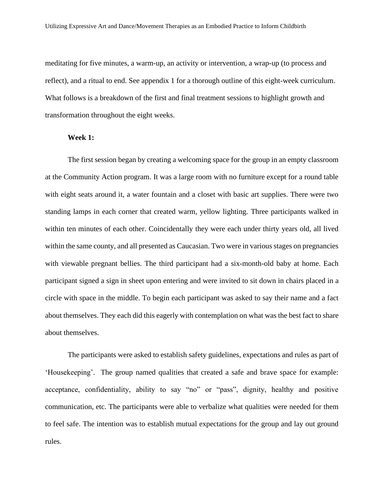meditating for five minutes, a warm-up, an activity or intervention, a wrap-up (to process and reflect), and a ritual to end. See appendix 1 for a thorough outline of this eight-week curriculum. What follows is a breakdown of the first and final treatment sessions to highlight growth and transformation throughout the eight weeks.

#### **Week 1:**

The first session began by creating a welcoming space for the group in an empty classroom at the Community Action program. It was a large room with no furniture except for a round table with eight seats around it, a water fountain and a closet with basic art supplies. There were two standing lamps in each corner that created warm, yellow lighting. Three participants walked in within ten minutes of each other. Coincidentally they were each under thirty years old, all lived within the same county, and all presented as Caucasian. Two were in various stages on pregnancies with viewable pregnant bellies. The third participant had a six-month-old baby at home. Each participant signed a sign in sheet upon entering and were invited to sit down in chairs placed in a circle with space in the middle. To begin each participant was asked to say their name and a fact about themselves. They each did this eagerly with contemplation on what was the best fact to share about themselves.

The participants were asked to establish safety guidelines, expectations and rules as part of 'Housekeeping'. The group named qualities that created a safe and brave space for example: acceptance, confidentiality, ability to say "no" or "pass", dignity, healthy and positive communication, etc. The participants were able to verbalize what qualities were needed for them to feel safe. The intention was to establish mutual expectations for the group and lay out ground rules.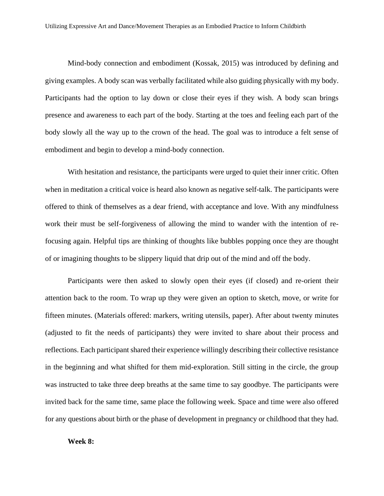Mind-body connection and embodiment (Kossak, 2015) was introduced by defining and giving examples. A body scan was verbally facilitated while also guiding physically with my body. Participants had the option to lay down or close their eyes if they wish. A body scan brings presence and awareness to each part of the body. Starting at the toes and feeling each part of the body slowly all the way up to the crown of the head. The goal was to introduce a felt sense of embodiment and begin to develop a mind-body connection.

With hesitation and resistance, the participants were urged to quiet their inner critic. Often when in meditation a critical voice is heard also known as negative self-talk. The participants were offered to think of themselves as a dear friend, with acceptance and love. With any mindfulness work their must be self-forgiveness of allowing the mind to wander with the intention of refocusing again. Helpful tips are thinking of thoughts like bubbles popping once they are thought of or imagining thoughts to be slippery liquid that drip out of the mind and off the body.

Participants were then asked to slowly open their eyes (if closed) and re-orient their attention back to the room. To wrap up they were given an option to sketch, move, or write for fifteen minutes. (Materials offered: markers, writing utensils, paper). After about twenty minutes (adjusted to fit the needs of participants) they were invited to share about their process and reflections. Each participant shared their experience willingly describing their collective resistance in the beginning and what shifted for them mid-exploration. Still sitting in the circle, the group was instructed to take three deep breaths at the same time to say goodbye. The participants were invited back for the same time, same place the following week. Space and time were also offered for any questions about birth or the phase of development in pregnancy or childhood that they had.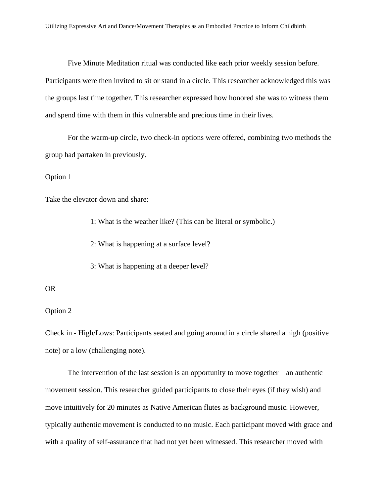Five Minute Meditation ritual was conducted like each prior weekly session before. Participants were then invited to sit or stand in a circle. This researcher acknowledged this was the groups last time together. This researcher expressed how honored she was to witness them and spend time with them in this vulnerable and precious time in their lives.

For the warm-up circle, two check-in options were offered, combining two methods the group had partaken in previously.

Option 1

Take the elevator down and share:

1: What is the weather like? (This can be literal or symbolic.)

2: What is happening at a surface level?

3: What is happening at a deeper level?

#### OR

Option 2

Check in - High/Lows: Participants seated and going around in a circle shared a high (positive note) or a low (challenging note).

The intervention of the last session is an opportunity to move together – an authentic movement session. This researcher guided participants to close their eyes (if they wish) and move intuitively for 20 minutes as Native American flutes as background music. However, typically authentic movement is conducted to no music. Each participant moved with grace and with a quality of self-assurance that had not yet been witnessed. This researcher moved with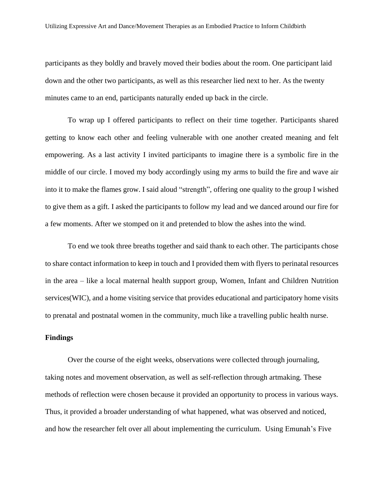participants as they boldly and bravely moved their bodies about the room. One participant laid down and the other two participants, as well as this researcher lied next to her. As the twenty minutes came to an end, participants naturally ended up back in the circle.

To wrap up I offered participants to reflect on their time together. Participants shared getting to know each other and feeling vulnerable with one another created meaning and felt empowering. As a last activity I invited participants to imagine there is a symbolic fire in the middle of our circle. I moved my body accordingly using my arms to build the fire and wave air into it to make the flames grow. I said aloud "strength", offering one quality to the group I wished to give them as a gift. I asked the participants to follow my lead and we danced around our fire for a few moments. After we stomped on it and pretended to blow the ashes into the wind.

To end we took three breaths together and said thank to each other. The participants chose to share contact information to keep in touch and I provided them with flyers to perinatal resources in the area – like a local maternal health support group, Women, Infant and Children Nutrition services(WIC), and a home visiting service that provides educational and participatory home visits to prenatal and postnatal women in the community, much like a travelling public health nurse.

### **Findings**

Over the course of the eight weeks, observations were collected through journaling, taking notes and movement observation, as well as self-reflection through artmaking. These methods of reflection were chosen because it provided an opportunity to process in various ways. Thus, it provided a broader understanding of what happened, what was observed and noticed, and how the researcher felt over all about implementing the curriculum. Using Emunah's Five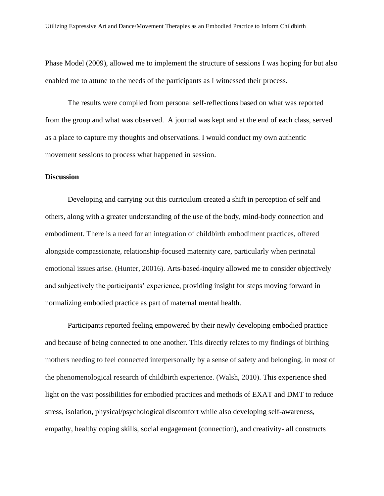Phase Model (2009), allowed me to implement the structure of sessions I was hoping for but also enabled me to attune to the needs of the participants as I witnessed their process.

The results were compiled from personal self-reflections based on what was reported from the group and what was observed. A journal was kept and at the end of each class, served as a place to capture my thoughts and observations. I would conduct my own authentic movement sessions to process what happened in session.

#### **Discussion**

Developing and carrying out this curriculum created a shift in perception of self and others, along with a greater understanding of the use of the body, mind-body connection and embodiment. There is a need for an integration of childbirth embodiment practices, offered alongside compassionate, relationship-focused maternity care, particularly when perinatal emotional issues arise. (Hunter, 20016). Arts-based-inquiry allowed me to consider objectively and subjectively the participants' experience, providing insight for steps moving forward in normalizing embodied practice as part of maternal mental health.

Participants reported feeling empowered by their newly developing embodied practice and because of being connected to one another. This directly relates to my findings of birthing mothers needing to feel connected interpersonally by a sense of safety and belonging, in most of the phenomenological research of childbirth experience. (Walsh, 2010). This experience shed light on the vast possibilities for embodied practices and methods of EXAT and DMT to reduce stress, isolation, physical/psychological discomfort while also developing self-awareness, empathy, healthy coping skills, social engagement (connection), and creativity- all constructs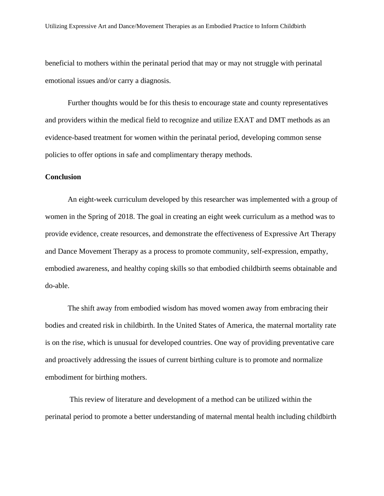beneficial to mothers within the perinatal period that may or may not struggle with perinatal emotional issues and/or carry a diagnosis.

Further thoughts would be for this thesis to encourage state and county representatives and providers within the medical field to recognize and utilize EXAT and DMT methods as an evidence-based treatment for women within the perinatal period, developing common sense policies to offer options in safe and complimentary therapy methods.

#### **Conclusion**

An eight-week curriculum developed by this researcher was implemented with a group of women in the Spring of 2018. The goal in creating an eight week curriculum as a method was to provide evidence, create resources, and demonstrate the effectiveness of Expressive Art Therapy and Dance Movement Therapy as a process to promote community, self-expression, empathy, embodied awareness, and healthy coping skills so that embodied childbirth seems obtainable and do-able.

The shift away from embodied wisdom has moved women away from embracing their bodies and created risk in childbirth. In the United States of America, the maternal [mortality](https://go.gale.com/ps/i.do?p=AONE&u=les_main&id=GALE|A523609895&v=2.1&it=r&sid=ebsco&password=NostimonHmar&ugroup=outside) rate is on the rise, which is unusual for developed countries. One way of providing preventative care and proactively addressing the issues of current birthing culture is to promote and normalize embodiment for birthing mothers.

This review of literature and development of a method can be utilized within the perinatal period to promote a better understanding of maternal mental health including childbirth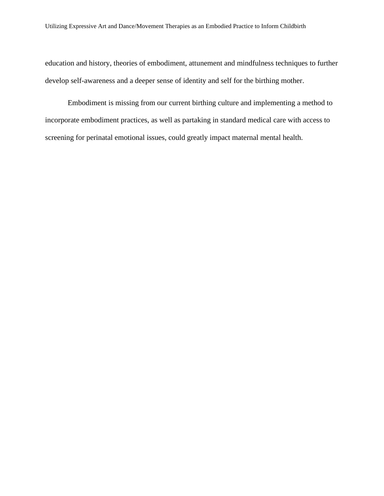education and history, theories of embodiment, attunement and mindfulness techniques to further develop self-awareness and a deeper sense of identity and self for the birthing mother.

Embodiment is missing from our current birthing culture and implementing a method to incorporate embodiment practices, as well as partaking in standard medical care with access to screening for perinatal emotional issues, could greatly impact maternal mental health.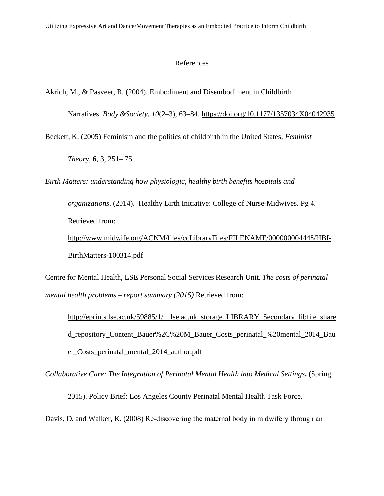#### References

Akrich, M., & Pasveer, B. (2004). Embodiment and Disembodiment in Childbirth

Narratives. *Body &Society*, *10*(2–3), 63–84. <https://doi.org/10.1177/1357034X04042935>

Beckett, K. (2005) Feminism and the politics of childbirth in the United States, *Feminist* 

*Theory*, **6**, 3, 251– 75.

*Birth Matters: understanding how physiologic, healthy birth benefits hospitals and* 

*organizations*. (2014).Healthy Birth Initiative: College of Nurse-Midwives. Pg 4. Retrieved from: [http://www.midwife.org/ACNM/files/ccLibraryFiles/FILENAME/000000004448/HBI-](http://www.midwife.org/ACNM/files/ccLibraryFiles/FILENAME/000000004448/HBI-BirthMatters-100314.pdf)

[BirthMatters-100314.pdf](http://www.midwife.org/ACNM/files/ccLibraryFiles/FILENAME/000000004448/HBI-BirthMatters-100314.pdf)

Centre for Mental Health, LSE Personal Social Services Research Unit. *The costs of [perinatal](http://eprints.lse.ac.uk/59885/1/__lse.ac.uk_storage_LIBRARY_Secondary_libfile_shared_repository_Content_Bauer%2C%20M_Bauer_Costs_perinatal_%20mental_2014_Bauer_Costs_perinatal_mental_2014_author.pdf)  mental health [problems](http://eprints.lse.ac.uk/59885/1/__lse.ac.uk_storage_LIBRARY_Secondary_libfile_shared_repository_Content_Bauer%2C%20M_Bauer_Costs_perinatal_%20mental_2014_Bauer_Costs_perinatal_mental_2014_author.pdf) – report summary (2015)* Retrieved from:

[http://eprints.lse.ac.uk/59885/1/\\_\\_lse.ac.uk\\_storage\\_LIBRARY\\_Secondary\\_libfile\\_share](http://eprints.lse.ac.uk/59885/1/__lse.ac.uk_storage_LIBRARY_Secondary_libfile_shared_repository_Content_Bauer%2C%20M_Bauer_Costs_perinatal_%20mental_2014_Bauer_Costs_perinatal_mental_2014_author.pdf) [d\\_repository\\_Content\\_Bauer%2C%20M\\_Bauer\\_Costs\\_perinatal\\_%20mental\\_2014\\_Bau](http://eprints.lse.ac.uk/59885/1/__lse.ac.uk_storage_LIBRARY_Secondary_libfile_shared_repository_Content_Bauer%2C%20M_Bauer_Costs_perinatal_%20mental_2014_Bauer_Costs_perinatal_mental_2014_author.pdf) [er\\_Costs\\_perinatal\\_mental\\_2014\\_author.pdf](http://eprints.lse.ac.uk/59885/1/__lse.ac.uk_storage_LIBRARY_Secondary_libfile_shared_repository_Content_Bauer%2C%20M_Bauer_Costs_perinatal_%20mental_2014_Bauer_Costs_perinatal_mental_2014_author.pdf)

*[Collaborative Care: The Integration of Perinatal Mental Health into Medical Settings](http://www.maternalmentalhealthnow.org/images/PDFs/2017/Collaborative_Care_Policy_Brief-compressed2.pdf)***. (**Spring

2015). Policy Brief: Los Angeles County Perinatal Mental Health Task Force.

Davis, D. and Walker, K. (2008) Re-discovering the maternal body in midwifery through an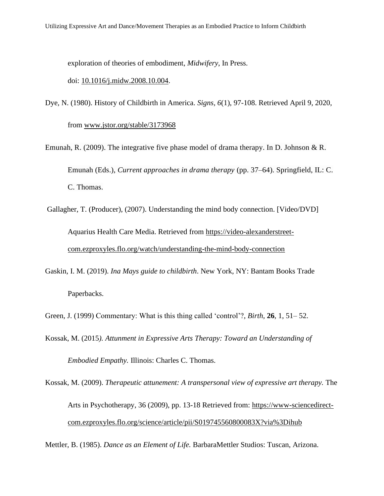exploration of theories of embodiment, *Midwifery*, In Press.

#### doi: [10.1016/j.midw.2008.10.004.](http://dx.doi.org/10.1016/j.midw.2008.10.004)

Dye, N. (1980). History of Childbirth in America. *Signs, 6*(1), 97-108. Retrieved April 9, 2020,

from [www.jstor.org/stable/3173968](http://www.jstor.org/stable/3173968)

- Emunah, R. (2009). The integrative five phase model of drama therapy. In D. Johnson & R. Emunah (Eds.), *Current approaches in drama therapy* (pp. 37–64). Springfield, IL: C. C. Thomas.
- Gallagher, T. (Producer), (2007). Understanding the mind body connection. [Video/DVD] Aquarius Health Care Media. Retrieved from [https://video-alexanderstreet](https://video-alexanderstreet-com.ezproxyles.flo.org/watch/understanding-the-mind-body-connection)[com.ezproxyles.flo.org/watch/understanding-the-mind-body-connection](https://video-alexanderstreet-com.ezproxyles.flo.org/watch/understanding-the-mind-body-connection)
- Gaskin, I. M. (2019). *Ina Mays guide to childbirth*. New York, NY: Bantam Books Trade Paperbacks.

Green, J. (1999) Commentary: What is this thing called 'control'?, *Birth*, **26**, 1, 51– 52.

- Kossak, M. (2015*). Attunment in Expressive Arts Therapy: Toward an Understanding of Embodied Empathy.* Illinois: Charles C. Thomas.
- Kossak, M. (2009). *Therapeutic attunement: A transpersonal view of expressive art therapy.* The Arts in Psychotherapy, 36 (2009), pp. 13-18 Retrieved from: [https://www-sciencedirect](https://www-sciencedirect-com.ezproxyles.flo.org/science/article/pii/S019745560800083X?via%3Dihub)[com.ezproxyles.flo.org/science/article/pii/S019745560800083X?via%3Dihub](https://www-sciencedirect-com.ezproxyles.flo.org/science/article/pii/S019745560800083X?via%3Dihub)

Mettler, B. (1985). *Dance as an Element of Life.* BarbaraMettler Studios: Tuscan, Arizona.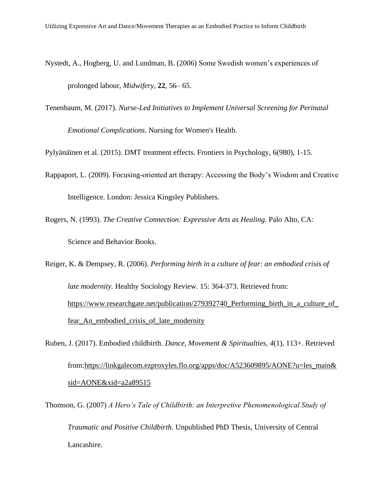- Nystedt, A., Hogberg, U. and Lundman, B. (2006) Some Swedish women's experiences of prolonged labour, *Midwifery*, **22**, 56– 65.
- Tenenbaum, M. (2017). *Nurse-Led Initiatives to Implement Universal Screening for Perinatal*

*Emotional Complications*. Nursing for Women's Health.

Pylyänäïnen et al. (2015). DMT treatment effects. Frontiers in Psychology, 6(980), 1-15.

- Rappaport, L. (2009). Focusing-oriented art therapy: Accessing the Body's Wisdom and Creative Intelligence. London: Jessica Kingsley Publishers.
- Rogers, N. (1993). *The Creative Connection: Expressive Arts as Healing.* Palo Alto, CA: Science and Behavior Books.

Reiger, K. & Dempsey, R. (2006). *Performing birth in a culture of fear: an embodied crisis of late modernity.* Healthy Sociology Review. 15: 364-373. Retrieved from: [https://www.researchgate.net/publication/279392740\\_Performing\\_birth\\_in\\_a\\_culture\\_of\\_](https://www.researchgate.net/publication/279392740_Performing_birth_in_a_culture_of_fear_An_embodied_crisis_of_late_modernity) [fear\\_An\\_embodied\\_crisis\\_of\\_late\\_modernity](https://www.researchgate.net/publication/279392740_Performing_birth_in_a_culture_of_fear_An_embodied_crisis_of_late_modernity)

Ruben, J. (2017). Embodied childbirth. *Dance, Movement & Spiritualties*, *4*(1), 113+. Retrieved from[:https://linkgalecom.ezproxyles.flo.org/apps/doc/A523609895/AONE?u=les\\_main&](https://linkgalecom.ezproxyles.flo.org/apps/doc/A523609895/AONE?u=les_main&sid=AONE&xid=a2a89515) [sid=AONE&xid=a2a89515](https://linkgalecom.ezproxyles.flo.org/apps/doc/A523609895/AONE?u=les_main&sid=AONE&xid=a2a89515)

Thomson, G. (2007) *A Hero's Tale of Childbirth: an Interpretive Phenomenological Study of Traumatic and Positive Childbirth*. Unpublished PhD Thesis, University of Central Lancashire.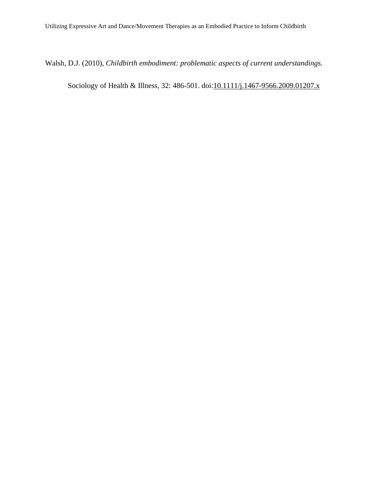Walsh, D.J. (2010), *Childbirth embodiment: problematic aspects of current understandings.*

Sociology of Health & Illness, 32: 486-501. doi: 10.1111/j.1467-9566.2009.01207.x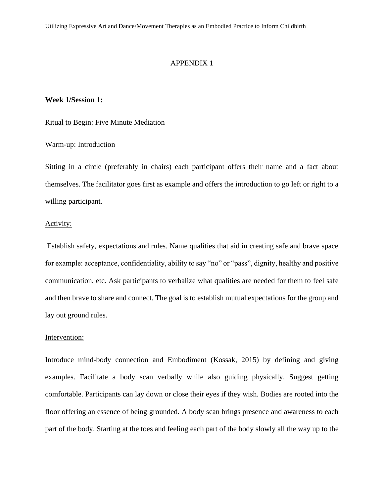Utilizing Expressive Art and Dance/Movement Therapies as an Embodied Practice to Inform Childbirth

#### APPENDIX 1

# **Week 1/Session 1:**

# Ritual to Begin: Five Minute Mediation

# Warm-up: Introduction

Sitting in a circle (preferably in chairs) each participant offers their name and a fact about themselves. The facilitator goes first as example and offers the introduction to go left or right to a willing participant.

# Activity:

Establish safety, expectations and rules. Name qualities that aid in creating safe and brave space for example: acceptance, confidentiality, ability to say "no" or "pass", dignity, healthy and positive communication, etc. Ask participants to verbalize what qualities are needed for them to feel safe and then brave to share and connect. The goal is to establish mutual expectations for the group and lay out ground rules.

# Intervention:

Introduce mind-body connection and Embodiment (Kossak, 2015) by defining and giving examples. Facilitate a body scan verbally while also guiding physically. Suggest getting comfortable. Participants can lay down or close their eyes if they wish. Bodies are rooted into the floor offering an essence of being grounded. A body scan brings presence and awareness to each part of the body. Starting at the toes and feeling each part of the body slowly all the way up to the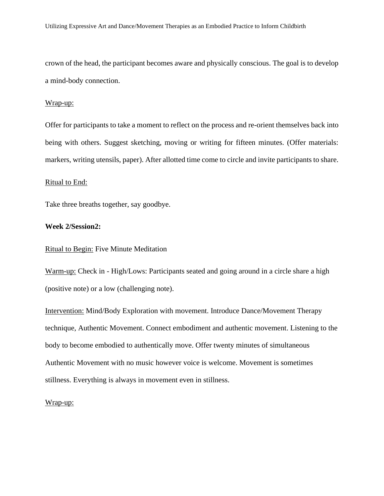crown of the head, the participant becomes aware and physically conscious. The goal is to develop a mind-body connection.

#### Wrap-up:

Offer for participants to take a moment to reflect on the process and re-orient themselves back into being with others. Suggest sketching, moving or writing for fifteen minutes. (Offer materials: markers, writing utensils, paper). After allotted time come to circle and invite participants to share.

#### Ritual to End:

Take three breaths together, say goodbye.

#### **Week 2/Session2:**

# Ritual to Begin: Five Minute Meditation

Warm-up: Check in - High/Lows: Participants seated and going around in a circle share a high (positive note) or a low (challenging note).

Intervention: Mind/Body Exploration with movement. Introduce Dance/Movement Therapy technique, Authentic Movement. Connect embodiment and authentic movement. Listening to the body to become embodied to authentically move. Offer twenty minutes of simultaneous Authentic Movement with no music however voice is welcome. Movement is sometimes stillness. Everything is always in movement even in stillness.

#### Wrap-up: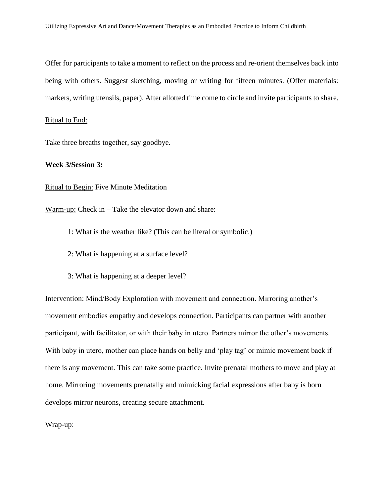Offer for participants to take a moment to reflect on the process and re-orient themselves back into being with others. Suggest sketching, moving or writing for fifteen minutes. (Offer materials: markers, writing utensils, paper). After allotted time come to circle and invite participants to share.

#### Ritual to End:

Take three breaths together, say goodbye.

#### **Week 3/Session 3:**

Ritual to Begin: Five Minute Meditation

Warm-up: Check in – Take the elevator down and share:

- 1: What is the weather like? (This can be literal or symbolic.)
- 2: What is happening at a surface level?
- 3: What is happening at a deeper level?

Intervention: Mind/Body Exploration with movement and connection. Mirroring another's movement embodies empathy and develops connection. Participants can partner with another participant, with facilitator, or with their baby in utero. Partners mirror the other's movements. With baby in utero, mother can place hands on belly and 'play tag' or mimic movement back if there is any movement. This can take some practice. Invite prenatal mothers to move and play at home. Mirroring movements prenatally and mimicking facial expressions after baby is born develops mirror neurons, creating secure attachment.

#### Wrap-up: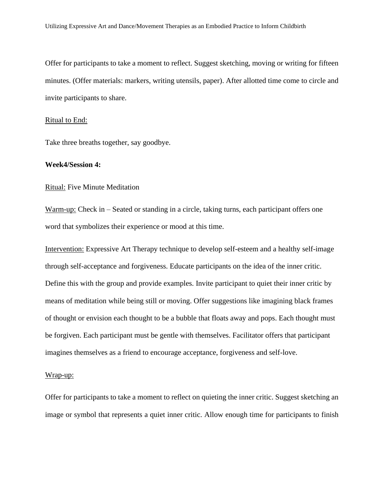Offer for participants to take a moment to reflect. Suggest sketching, moving or writing for fifteen minutes. (Offer materials: markers, writing utensils, paper). After allotted time come to circle and invite participants to share.

#### Ritual to End:

Take three breaths together, say goodbye.

#### **Week4/Session 4:**

# Ritual: Five Minute Meditation

Warm-up: Check in – Seated or standing in a circle, taking turns, each participant offers one word that symbolizes their experience or mood at this time.

Intervention: Expressive Art Therapy technique to develop self-esteem and a healthy self-image through self-acceptance and forgiveness. Educate participants on the idea of the inner critic. Define this with the group and provide examples. Invite participant to quiet their inner critic by means of meditation while being still or moving. Offer suggestions like imagining black frames of thought or envision each thought to be a bubble that floats away and pops. Each thought must be forgiven. Each participant must be gentle with themselves. Facilitator offers that participant imagines themselves as a friend to encourage acceptance, forgiveness and self-love.

# Wrap-up:

Offer for participants to take a moment to reflect on quieting the inner critic. Suggest sketching an image or symbol that represents a quiet inner critic. Allow enough time for participants to finish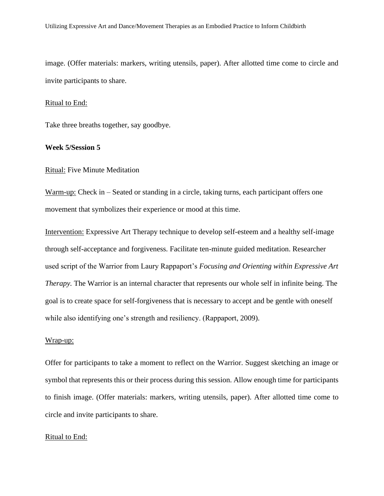image. (Offer materials: markers, writing utensils, paper). After allotted time come to circle and invite participants to share.

#### Ritual to End:

Take three breaths together, say goodbye.

#### **Week 5/Session 5**

#### Ritual: Five Minute Meditation

Warm-up: Check in – Seated or standing in a circle, taking turns, each participant offers one movement that symbolizes their experience or mood at this time.

Intervention: Expressive Art Therapy technique to develop self-esteem and a healthy self-image through self-acceptance and forgiveness. Facilitate ten-minute guided meditation. Researcher used script of the Warrior from Laury Rappaport's *Focusing and Orienting within Expressive Art Therapy.* The Warrior is an internal character that represents our whole self in infinite being. The goal is to create space for self-forgiveness that is necessary to accept and be gentle with oneself while also identifying one's strength and resiliency. (Rappaport, 2009).

#### Wrap-up:

Offer for participants to take a moment to reflect on the Warrior. Suggest sketching an image or symbol that represents this or their process during this session. Allow enough time for participants to finish image. (Offer materials: markers, writing utensils, paper). After allotted time come to circle and invite participants to share.

#### Ritual to End: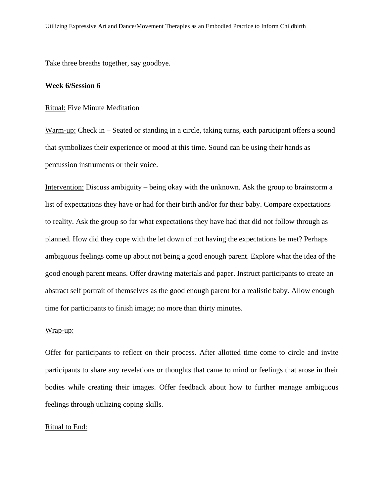Take three breaths together, say goodbye.

#### **Week 6/Session 6**

#### Ritual: Five Minute Meditation

Warm-up: Check in – Seated or standing in a circle, taking turns, each participant offers a sound that symbolizes their experience or mood at this time. Sound can be using their hands as percussion instruments or their voice.

Intervention: Discuss ambiguity – being okay with the unknown. Ask the group to brainstorm a list of expectations they have or had for their birth and/or for their baby. Compare expectations to reality. Ask the group so far what expectations they have had that did not follow through as planned. How did they cope with the let down of not having the expectations be met? Perhaps ambiguous feelings come up about not being a good enough parent. Explore what the idea of the good enough parent means. Offer drawing materials and paper. Instruct participants to create an abstract self portrait of themselves as the good enough parent for a realistic baby. Allow enough time for participants to finish image; no more than thirty minutes.

# Wrap-up:

Offer for participants to reflect on their process. After allotted time come to circle and invite participants to share any revelations or thoughts that came to mind or feelings that arose in their bodies while creating their images. Offer feedback about how to further manage ambiguous feelings through utilizing coping skills.

# Ritual to End: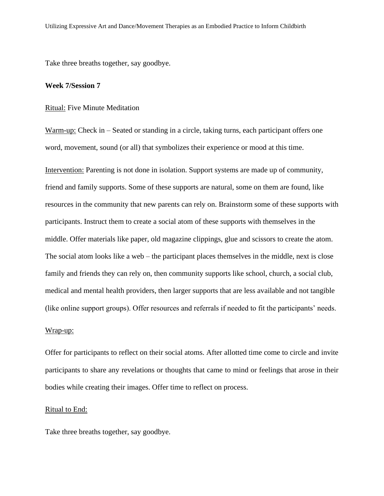Take three breaths together, say goodbye.

#### **Week 7/Session 7**

#### Ritual: Five Minute Meditation

Warm-up: Check in – Seated or standing in a circle, taking turns, each participant offers one word, movement, sound (or all) that symbolizes their experience or mood at this time.

Intervention: Parenting is not done in isolation. Support systems are made up of community, friend and family supports. Some of these supports are natural, some on them are found, like resources in the community that new parents can rely on. Brainstorm some of these supports with participants. Instruct them to create a social atom of these supports with themselves in the middle. Offer materials like paper, old magazine clippings, glue and scissors to create the atom. The social atom looks like a web – the participant places themselves in the middle, next is close family and friends they can rely on, then community supports like school, church, a social club, medical and mental health providers, then larger supports that are less available and not tangible (like online support groups). Offer resources and referrals if needed to fit the participants' needs.

# Wrap-up:

Offer for participants to reflect on their social atoms. After allotted time come to circle and invite participants to share any revelations or thoughts that came to mind or feelings that arose in their bodies while creating their images. Offer time to reflect on process.

#### Ritual to End:

Take three breaths together, say goodbye.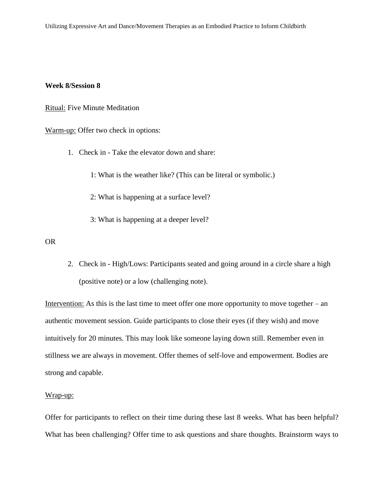#### **Week 8/Session 8**

Ritual: Five Minute Meditation

Warm-up: Offer two check in options:

1. Check in - Take the elevator down and share:

1: What is the weather like? (This can be literal or symbolic.)

2: What is happening at a surface level?

3: What is happening at a deeper level?

OR

2. Check in - High/Lows: Participants seated and going around in a circle share a high (positive note) or a low (challenging note).

Intervention: As this is the last time to meet offer one more opportunity to move together – an authentic movement session. Guide participants to close their eyes (if they wish) and move intuitively for 20 minutes. This may look like someone laying down still. Remember even in stillness we are always in movement. Offer themes of self-love and empowerment. Bodies are strong and capable.

#### Wrap-up:

Offer for participants to reflect on their time during these last 8 weeks. What has been helpful? What has been challenging? Offer time to ask questions and share thoughts. Brainstorm ways to